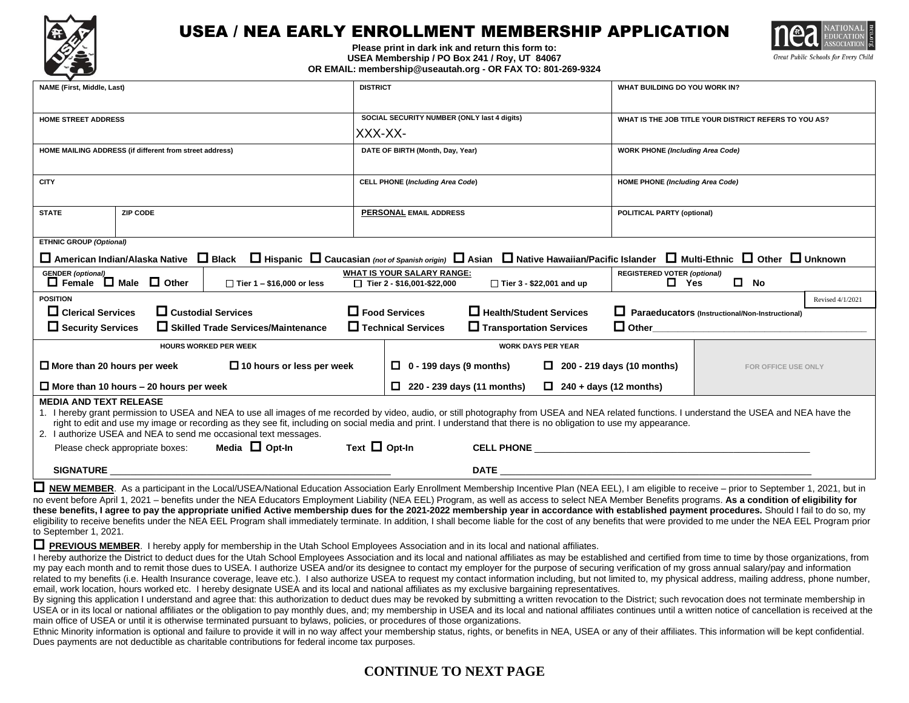

## USEA / NEA EARLY ENROLLMENT MEMBERSHIP APPLICATION



Great Public Schools for Every Child

**Please print in dark ink and return this form to: USEA Membership / PO Box 241 / Roy, UT 84067 OR EMAIL: membership@useautah.org - OR FAX TO: 801-269-9324**

| NAME (First, Middle, Last)                                                                                                                                                                      | <b>DISTRICT</b>                                                    | <b>WHAT BUILDING DO YOU WORK IN?</b>                     |  |  |
|-------------------------------------------------------------------------------------------------------------------------------------------------------------------------------------------------|--------------------------------------------------------------------|----------------------------------------------------------|--|--|
|                                                                                                                                                                                                 |                                                                    |                                                          |  |  |
| <b>HOME STREET ADDRESS</b>                                                                                                                                                                      | SOCIAL SECURITY NUMBER (ONLY last 4 digits)                        | WHAT IS THE JOB TITLE YOUR DISTRICT REFERS TO YOU AS?    |  |  |
|                                                                                                                                                                                                 | XXX-XX-                                                            |                                                          |  |  |
| HOME MAILING ADDRESS (if different from street address)                                                                                                                                         | DATE OF BIRTH (Month, Day, Year)                                   | <b>WORK PHONE (Including Area Code)</b>                  |  |  |
|                                                                                                                                                                                                 |                                                                    |                                                          |  |  |
| <b>CITY</b>                                                                                                                                                                                     | <b>CELL PHONE (Including Area Code)</b>                            | <b>HOME PHONE (Including Area Code)</b>                  |  |  |
|                                                                                                                                                                                                 |                                                                    |                                                          |  |  |
| <b>STATE</b><br>ZIP CODE                                                                                                                                                                        | PERSONAL EMAIL ADDRESS                                             | <b>POLITICAL PARTY (optional)</b>                        |  |  |
|                                                                                                                                                                                                 |                                                                    |                                                          |  |  |
| <b>ETHNIC GROUP (Optional)</b>                                                                                                                                                                  |                                                                    |                                                          |  |  |
| □ American Indian/Alaska Native □ Black □ Hispanic □ Caucasian (not of Spanish origin) □ Asian □ Native Hawaiian/Pacific Islander □ Multi-Ethnic □ Other □ Unknown                              |                                                                    |                                                          |  |  |
| <b>GENDER</b> (optional)                                                                                                                                                                        | <b>WHAT IS YOUR SALARY RANGE:</b>                                  | <b>REGISTERED VOTER (optional)</b>                       |  |  |
| $\Box$ Female $\Box$ Male $\Box$ Other<br>$\Box$ Tier 1 – \$16,000 or less                                                                                                                      | Tier 2 - \$16,001-\$22,000<br>$\Box$ Tier 3 - \$22,001 and up      | $\Box$ No<br>$\Box$ Yes                                  |  |  |
| <b>POSITION</b>                                                                                                                                                                                 |                                                                    | Revised 4/1/2021                                         |  |  |
| $\Box$ Clerical Services<br>$\Box$ Custodial Services                                                                                                                                           | $\Box$ Food Services<br>$\Box$ Health/Student Services             | Paraeducators (Instructional/Non-Instructional)          |  |  |
| $\Box$ Security Services<br>Skilled Trade Services/Maintenance                                                                                                                                  | $\Box$ Technical Services<br>$\Box$ Transportation Services        |                                                          |  |  |
| <b>HOURS WORKED PER WEEK</b>                                                                                                                                                                    | <b>WORK DAYS PER YEAR</b>                                          |                                                          |  |  |
| $\Box$ More than 20 hours per week<br>$\Box$ 10 hours or less per week                                                                                                                          | $\Box$ 0 - 199 days (9 months)                                     | $\Box$ 200 - 219 days (10 months)<br>FOR OFFICE USE ONLY |  |  |
|                                                                                                                                                                                                 |                                                                    |                                                          |  |  |
| $\Box$ More than 10 hours – 20 hours per week                                                                                                                                                   | $\Box$ 220 - 239 days (11 months)<br>$\Box$ 240 + days (12 months) |                                                          |  |  |
| <b>MEDIA AND TEXT RELEASE</b>                                                                                                                                                                   |                                                                    |                                                          |  |  |
| 1. I hereby grant permission to USEA and NEA to use all images of me recorded by video, audio, or still photography from USEA and NEA related functions. I understand the USEA and NEA have the |                                                                    |                                                          |  |  |
| right to edit and use my image or recording as they see fit, including on social media and print. I understand that there is no obligation to use my appearance.                                |                                                                    |                                                          |  |  |
| 2. I authorize USEA and NEA to send me occasional text messages.                                                                                                                                |                                                                    |                                                          |  |  |
| Media $\Box$ Opt-In<br>Please check appropriate boxes:                                                                                                                                          | Text $\Box$ Opt-In                                                 | <b>CELL PHONE CELL PHONE</b>                             |  |  |
|                                                                                                                                                                                                 |                                                                    |                                                          |  |  |
|                                                                                                                                                                                                 |                                                                    |                                                          |  |  |

■ NEW MEMBER. As a participant in the Local/USEA/National Education Association Early Enrollment Membership Incentive Plan (NEA EEL), I am eligible to receive – prior to September 1, 2021, but in no event before April 1, 2021 – benefits under the NEA Educators Employment Liability (NEA EEL) Program, as well as access to select NEA Member Benefits programs. **As a condition of eligibility for these benefits, I agree to pay the appropriate unified Active membership dues for the 2021-2022 membership year in accordance with established payment procedures.** Should I fail to do so, my eligibility to receive benefits under the NEA EEL Program shall immediately terminate. In addition, I shall become liable for the cost of any benefits that were provided to me under the NEA EEL Program prior to September 1, 2021.

**PREVIOUS MEMBER**. I hereby apply for membership in the Utah School Employees Association and in its local and national affiliates.

I hereby authorize the District to deduct dues for the Utah School Employees Association and its local and national affiliates as may be established and certified from time to time by those organizations, from my pay each month and to remit those dues to USEA. I authorize USEA and/or its designee to contact my employer for the purpose of securing verification of my gross annual salary/pay and information related to my benefits (i.e. Health Insurance coverage, leave etc.). I also authorize USEA to request my contact information including, but not limited to, my physical address, mailing address, phone number, email, work location, hours worked etc. I hereby designate USEA and its local and national affiliates as my exclusive bargaining representatives.

By signing this application I understand and agree that: this authorization to deduct dues may be revoked by submitting a written revocation to the District; such revocation does not terminate membership in USEA or in its local or national affiliates or the obligation to pay monthly dues, and; my membership in USEA and its local and national affiliates continues until a written notice of cancellation is received at the main office of USEA or until it is otherwise terminated pursuant to bylaws, policies, or procedures of those organizations.

Ethnic Minority information is optional and failure to provide it will in no way affect your membership status, rights, or benefits in NEA, USEA or any of their affiliates. This information will be kept confidential. Dues payments are not deductible as charitable contributions for federal income tax purposes.

## **CONTINUE TO NEXT PAGE**